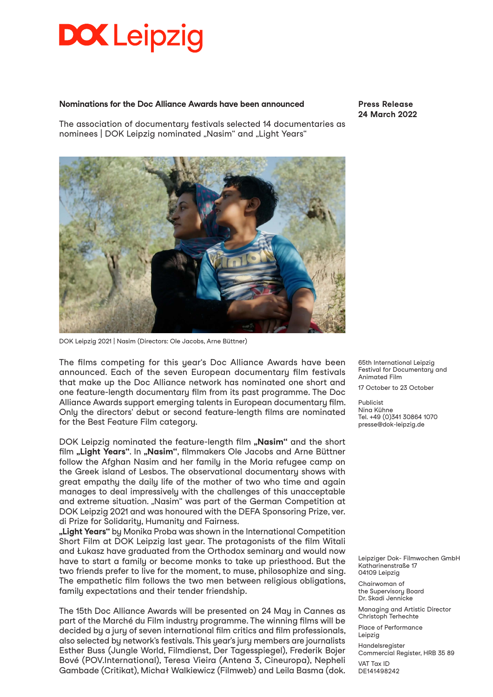## **DOX** Leipzig

#### **Nominations for the Doc Alliance Awards have been announced**

The association of documentary festivals selected 14 documentaries as nominees | DOK Leipzig nominated "Nasim" and "Light Years"



DOK Leipzig 2021 | Nasim (Directors: Ole Jacobs, Arne Büttner)

The films competing for this year's Doc Alliance Awards have been announced. Each of the seven European documentary film festivals that make up the Doc Alliance network has nominated one short and one feature-length documentary film from its past programme. The Doc Alliance Awards support emerging talents in European documentary film. Only the directors' debut or second feature-length films are nominated for the Best Feature Film category.

DOK Leipzig nominated the feature-length film "Nasim" and the short film "Light Years". In "Nasim", filmmakers Ole Jacobs and Arne Büttner follow the Afghan Nasim and her family in the Moria refugee camp on the Greek island of Lesbos. The observational documentary shows with great empathy the daily life of the mother of two who time and again manages to deal impressively with the challenges of this unacceptable and extreme situation. "Nasim" was part of the German Competition at DOK Leipzig 2021 and was honoured with the DEFA Sponsoring Prize, ver. di Prize for Solidarity, Humanity and Fairness.

**"Light Years"** by Monika Proba was shown in the International Competition Short Film at DOK Leipzig last year. The protagonists of the film Witali and Łukasz have graduated from the Orthodox seminary and would now have to start a family or become monks to take up priesthood. But the two friends prefer to live for the moment, to muse, philosophize and sing. The empathetic film follows the two men between religious obligations, family expectations and their tender friendship.

The 15th Doc Alliance Awards will be presented on 24 May in Cannes as part of the Marché du Film industry programme. The winning films will be decided by a jury of seven international film critics and film professionals, also selected by network's festivals. This year's jury members are journalists Esther Buss (Jungle World, Filmdienst, Der Tagesspiegel), Frederik Bojer Bové (POV.International), Teresa Vieira (Antena 3, Cineuropa), Nepheli Gambade (Critikat), Michał Walkiewicz (Filmweb) and Leila Basma (dok. 65th International Leipzig Festival for Documentary and Animated Film

17 October to 23 October

Publicist Nina Kühne Tel. +49 (0)341 30864 1070 presse@dok-leipzig.de

Leipziger Dok- Filmwochen GmbH Katharinenstraße 17 04109 Leipzig

Chairwoman of the Supervisory Board Dr. Skadi Jennicke

Managing and Artistic Director Christoph Terhechte

Place of Performance Leipzig

Handelsregister Commercial Register, HRB 35 89 VAT Tax ID DE141498242

**Press Release 24 March 2022**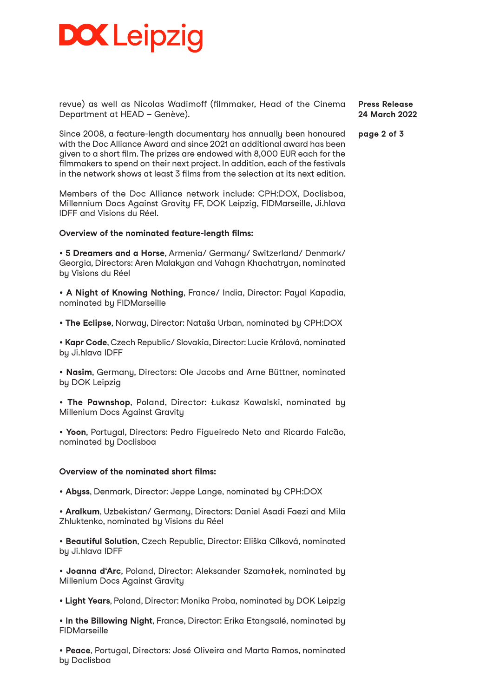## **DOX Leipzig**

revue) as well as Nicolas Wadimoff (filmmaker, Head of the Cinema Department at HEAD – Genève).

**Press Release 24 March 2022**

**page 2 of 3**

Since 2008, a feature-length documentary has annually been honoured with the Doc Alliance Award and since 2021 an additional award has been given to a short film. The prizes are endowed with 8,000 EUR each for the filmmakers to spend on their next project. In addition, each of the festivals in the network shows at least 3 films from the selection at its next edition.

Members of the Doc Alliance network include: CPH:DOX, Doclisboa, Millennium Docs Against Gravity FF, DOK Leipzig, FIDMarseille, Ji.hlava IDFF and Visions du Réel.

### **Overview of the nominated feature-length films:**

• **5 Dreamers and a Horse**, Armenia/ Germany/ Switzerland/ Denmark/ Georgia, Directors: Aren Malakyan and Vahagn Khachatryan, nominated by Visions du Réel

• **A Night of Knowing Nothing**, France/ India, Director: Payal Kapadia, nominated by FIDMarseille

• **The Eclipse**, Norway, Director: Nataša Urban, nominated by CPH:DOX

• **Kapr Code**, Czech Republic/ Slovakia, Director: Lucie Králová, nominated by Ji.hlava IDFF

• **Nasim**, Germany, Directors: Ole Jacobs and Arne Büttner, nominated by DOK Leipzig

• **The Pawnshop**, Poland, Director: Łukasz Kowalski, nominated by Millenium Docs Against Gravity

• **Yoon**, Portugal, Directors: Pedro Figueiredo Neto and Ricardo Falcão, nominated by Doclisboa

### **Overview of the nominated short films:**

• **Abyss**, Denmark, Director: Jeppe Lange, nominated by CPH:DOX

• **Aralkum**, Uzbekistan/ Germany, Directors: Daniel Asadi Faezi and Mila Zhluktenko, nominated by Visions du Réel

• **Beautiful Solution**, Czech Republic, Director: Eliška Cílková, nominated by Ji.hlava IDFF

• **Joanna d'Arc**, Poland, Director: Aleksander Szamałek, nominated by Millenium Docs Against Gravity

• **Light Years**, Poland, Director: Monika Proba, nominated by DOK Leipzig

• **In the Billowing Night**, France, Director: Erika Etangsalé, nominated by FIDMarseille

• **Peace**, Portugal, Directors: José Oliveira and Marta Ramos, nominated by Doclisboa